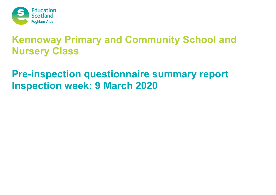

# **Pre-inspection questionnaire summary report Inspection week: 9 March 2020**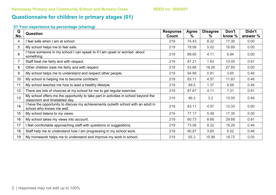# **Questionnaire for children in primary stages (01)**

| Q               | <b>Question</b>                                                                                                      | <b>Response</b> | <b>Agree</b> | <b>Disagree</b> | Don't  | Didn't   |
|-----------------|----------------------------------------------------------------------------------------------------------------------|-----------------|--------------|-----------------|--------|----------|
| No.             |                                                                                                                      | Count           | $\%$         | $\%$            | know % | answer % |
| 4               | I feel safe when I am at school.                                                                                     | 219             | 74.43        | 8.22            | 17.35  | 0.00     |
| 5               | My school helps me to feel safe.                                                                                     | 219             | 78.08        | 5.02            | 16.89  | 0.00     |
| 6               | I have someone in my school I can speak to if I am upset or worried about<br>something.                              | 219             | 89.95        | 4.11            | 5.94   | 0.00     |
| 7               | Staff treat me fairly and with respect.                                                                              | 219             | 87.21        | 1.83            | 10.05  | 0.91     |
| 8               | Other children treat me fairly and with respect.                                                                     | 219             | 53.88        | 18.26           | 27.85  | 0.00     |
| 9               | My school helps me to understand and respect other people.                                                           | 219             | 94.98        | 0.91            | 3.65   | 0.46     |
| 10              | My school is helping me to become confident.                                                                         | 219             | 83.11        | 4.57            | 11.87  | 0.46     |
| 11              | My school teaches me how to lead a healthy lifestyle.                                                                | 219             | 89.5         | 1.37            | 8.68   | 0.46     |
| 12              | There are lots of chances at my school for me to get regular exercise.                                               | 219             | 87.67        | 4.11            | 7.31   | 0.91     |
| 13              | My school offers me the opportunity to take part in activities in school beyond the<br>classroom and timetabled day. | 219             | 86.3         | 3.2             | 10.05  | 0.46     |
| 14              | I have the opportunity to discuss my achievements outwith school with an adult in<br>school who knows me well.       | 219             | 83.11        | 4.57            | 12.33  | 0.00     |
| 15 <sub>1</sub> | My school listens to my views.                                                                                       | 219             | 77.17        | 5.48            | 17.35  | 0.00     |
| 16              | My school takes my views into account.                                                                               | 219             | 60.73        | 8.68            | 29.68  | 0.91     |
| 17              | I feel comfortable approaching staff with questions or suggestions.                                                  | 219             | 73.06        | 8.22            | 18.26  | 0.46     |
| 18              | Staff help me to understand how I am progressing in my school work.                                                  | 219             | 90.87        | 3.65            | 5.02   | 0.46     |
| 19              | My homework helps me to understand and improve my work in school.                                                    | 219             | 65.3         | 15.98           | 18.72  | 0.00     |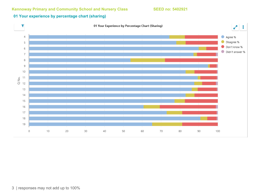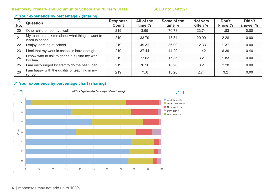### **01 Your experience by percentage 2 (sharing)**

| Q<br>No. | <b>Question</b>                                                    | <b>Response</b><br>Count | All of the<br>time % | Some of the<br>time % | Not very<br>often % | Don't<br>know % | Didn't<br>answer % |
|----------|--------------------------------------------------------------------|--------------------------|----------------------|-----------------------|---------------------|-----------------|--------------------|
| 20       | Other children behave well.                                        | 219                      | 3.65                 | 70.78                 | 23.74               | 1.83            | 0.00               |
| 21       | My teachers ask me about what things I want to<br>learn in school. | 219                      | 33.79                | 43.84                 | 20.09               | 2.28            | 0.00               |
| 22       | I enjoy learning at school.                                        | 219                      | 49.32                | 36.99                 | 12.33               | 1.37            | 0.00               |
| 23       | I feel that my work in school is hard enough.                      | 219                      | 37.44                | 44.29                 | 11.42               | 6.39            | 0.46               |
| 24       | I know who to ask to get help if I find my work<br>too hard.       | 219                      | 77.63                | 17.35                 | 3.2                 | 1.83            | 0.00               |
| 25       | I am encouraged by staff to do the best I can.                     | 219                      | 76.26                | 18.26                 | 3.2                 | 2.28            | 0.00               |
| 26       | am happy with the quality of teaching in my<br>school.             | 219                      | 75.8                 | 18.26                 | 2.74                | 3.2             | 0.00               |

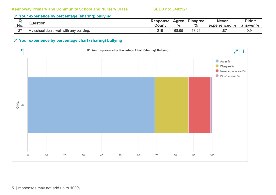### **01 Your experience by percentage (sharing) bullying**

| No.         | <b>Question</b>                         | <b>Response</b><br>Count | <b>Agree</b><br>$\%$ | <b>Disagree</b><br>$\%$ | <b>Never</b><br>$\%$<br>experienced | Didn't<br>answer % |
|-------------|-----------------------------------------|--------------------------|----------------------|-------------------------|-------------------------------------|--------------------|
| $\sim$<br>_ | My school deals well with any bullying. | 219                      | 68.95                | 18.26                   | 1.87                                | 0.91               |

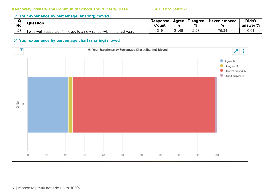### **01 Your experience by percentage (sharing) moved**

| No. | Question                                                              | <b>Response</b><br>Count | <b>Agree</b><br>$\frac{0}{0}$ | <b>Disagree</b><br>$\%$ | Haven't moved<br>$\%$ | Didn't<br>answer % |
|-----|-----------------------------------------------------------------------|--------------------------|-------------------------------|-------------------------|-----------------------|--------------------|
| 28  | I was well supported if I moved to a new school within the last year. | 219                      | $\sim$<br>.46                 | 2.28                    | 75.34                 | 0.91               |

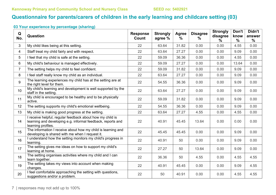# **Questionnaire for parents/carers of children in the early learning and childcare setting (03)**

| Q<br>No.       | <b>Question</b>                                                                                                                                | <b>Response</b><br>Count | <b>Strongly</b><br>agree % | Agree<br>% | <b>Disagree</b><br>℅ | <b>Strongly</b><br>disagree<br>$\%$ | Don't<br>know<br>$\frac{0}{0}$ | Didn't<br>answer<br>$\frac{0}{0}$ |
|----------------|------------------------------------------------------------------------------------------------------------------------------------------------|--------------------------|----------------------------|------------|----------------------|-------------------------------------|--------------------------------|-----------------------------------|
| 3              | My child likes being at this setting.                                                                                                          | 22                       | 63.64                      | 31.82      | 0.00                 | 0.00                                | 4.55                           | 0.00                              |
| 4              | Staff treat my child fairly and with respect.                                                                                                  | 22                       | 63.64                      | 27.27      | 0.00                 | 0.00                                | 9.09                           | 0.00                              |
| 5              | I feel that my child is safe at the setting.                                                                                                   | 22                       | 59.09                      | 36.36      | 0.00                 | 0.00                                | 4.55                           | 0.00                              |
| 6              | My child's behaviour is managed effectively.                                                                                                   | 22                       | 59.09                      | 27.27      | 0.00                 | 0.00                                | 13.64                          | 0.00                              |
| $\overline{7}$ | The setting helps my child to feel confident.                                                                                                  | 22                       | 59.09                      | 31.82      | 0.00                 | 0.00                                | 9.09                           | 0.00                              |
| 8              | I feel staff really know my child as an individual.                                                                                            | 22                       | 63.64                      | 27.27      | 0.00                 | 0.00                                | 9.09                           | 0.00                              |
| 9              | The learning experiences my child has at the setting are at<br>the right level for them.                                                       | 22                       | 54.55                      | 36.36      | 0.00                 | 0.00                                | 9.09                           | 0.00                              |
| 10             | My child's learning and development is well supported by the<br>staff in the setting.                                                          | 22                       | 63.64                      | 27.27      | 0.00                 | 0.00                                | 9.09                           | 0.00                              |
| 11             | My child is encouraged to be healthy and to be physically<br>active.                                                                           | 22                       | 59.09                      | 31.82      | 0.00                 | 0.00                                | 9.09                           | 0.00                              |
| 12             | The setting supports my child's emotional wellbeing.                                                                                           | 22                       | 54.55                      | 36.36      | 0.00                 | 0.00                                | 9.09                           | 0.00                              |
| 13             | My child is making good progress at the setting.                                                                                               | 22                       | 63.64                      | 27.27      | 4.55                 | 0.00                                | 4.55                           | 0.00                              |
| 14             | I receive helpful, regular feedback about how my child is<br>learning and developing e.g. informal feedback, reports and<br>learning profiles. | 22                       | 40.91                      | 45.45      | 13.64                | 0.00                                | 0.00                           | 0.00                              |
| 15             | The information I receive about how my child is learning and<br>developing is shared with me when I request it.                                | 22                       | 45.45                      | 45.45      | 0.00                 | 0.00                                | 9.09                           | 0.00                              |
| 16             | I understand how the setting monitors my child's progress in<br>learning.                                                                      | 22                       | 40.91                      | 50         | 0.00                 | 0.00                                | 9.09                           | 0.00                              |
| 17             | The setting gives me ideas on how to support my child's<br>learning at home.                                                                   | 22                       | 27.27                      | 50         | 13.64                | 0.00                                | 9.09                           | 0.00                              |
| 18             | The setting organises activities where my child and I can<br>learn together.                                                                   | 22                       | 36.36                      | 50         | 4.55                 | 0.00                                | 4.55                           | 4.55                              |
| 19             | The setting takes my views into account when making<br>changes.                                                                                | 22                       | 40.91                      | 45.45      | 0.00                 | 0.00                                | 9.09                           | 4.55                              |
| 20             | I feel comfortable approaching the setting with questions,<br>suggestions and/or a problem.                                                    | 22                       | 50                         | 40.91      | 0.00                 | 0.00                                | 4.55                           | 4.55                              |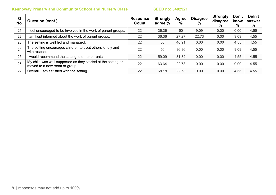| Q<br>No. | Question (cont.)                                                                               | <b>Response</b><br>Count | <b>Strongly</b><br>agree % | Agree<br>$\%$ | <b>Disagree</b><br>$\frac{0}{0}$ | <b>Strongly</b><br>disagree<br>% | Don't<br>know<br>$\%$ | Didn't<br>answer<br>% |
|----------|------------------------------------------------------------------------------------------------|--------------------------|----------------------------|---------------|----------------------------------|----------------------------------|-----------------------|-----------------------|
| 21       | feel encouraged to be involved in the work of parent groups.                                   | 22                       | 36.36                      | 50            | 9.09                             | 0.00                             | 0.00                  | 4.55                  |
| 22       | am kept informed about the work of parent groups.                                              | 22                       | 36.36                      | 27.27         | 22.73                            | 0.00                             | 9.09                  | 4.55                  |
| 23       | The setting is well led and managed.                                                           | 22                       | 50                         | 40.91         | 0.00                             | 0.00                             | 4.55                  | 4.55                  |
| 24       | The setting encourages children to treat others kindly and<br>with respect.                    | 22                       | 50                         | 36.36         | 0.00                             | 0.00                             | 9.09                  | 4.55                  |
| 25       | I would recommend the setting to other parents.                                                | 22                       | 59.09                      | 31.82         | 0.00                             | 0.00                             | 4.55                  | 4.55                  |
| 26       | My child was well supported as they started at the setting or<br>moved to a new room or group. | 22                       | 63.64                      | 22.73         | 0.00                             | 0.00                             | 9.09                  | 4.55                  |
| 27       | Overall, I am satisfied with the setting.                                                      | 22                       | 68.18                      | 22.73         | 0.00                             | 0.00                             | 4.55                  | 4.55                  |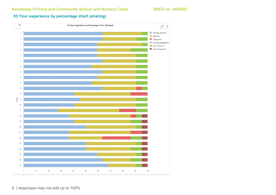### **03 Your experience by percentage chart (sharing)**



9 | responses may not add up to 100%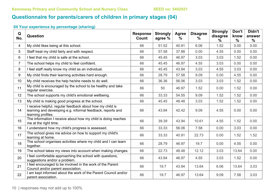# **Questionnaire for parents/carers of children in primary stages (04)**

| Q<br>No.       | Question                                                                                                                                       | <b>Response</b><br>Count | <b>Strongly</b><br>agree % | Agree<br>$\%$ | <b>Disagree</b><br>$\%$ | <b>Strongly</b><br>disagree<br>$\%$ | Don't<br>know<br>$\frac{0}{0}$ | Didn't<br>answer<br>$\frac{0}{0}$ |
|----------------|------------------------------------------------------------------------------------------------------------------------------------------------|--------------------------|----------------------------|---------------|-------------------------|-------------------------------------|--------------------------------|-----------------------------------|
| 4              | My child likes being at this school.                                                                                                           | 66                       | 51.52                      | 40.91         | 6.06                    | 1.52                                | 0.00                           | 0.00                              |
| 5              | Staff treat my child fairly and with respect.                                                                                                  | 66                       | 57.58                      | 37.88         | 0.00                    | 4.55                                | 0.00                           | 0.00                              |
| 6              | I feel that my child is safe at the school.                                                                                                    | 66                       | 45.45                      | 46.97         | 3.03                    | 3.03                                | 1.52                           | 0.00                              |
| $\overline{7}$ | The school helps my child to feel confident.                                                                                                   | 66                       | 45.45                      | 46.97         | 4.55                    | 3.03                                | 0.00                           | 0.00                              |
| 8              | I feel staff really know my child as an individual.                                                                                            | 66                       | 45.45                      | 43.94         | 3.03                    | 4.55                                | 3.03                           | 0.00                              |
| 9              | My child finds their learning activities hard enough.                                                                                          | 66                       | 28.79                      | 57.58         | 9.09                    | 0.00                                | 4.55                           | 0.00                              |
| 10             | My child receives the help he/she needs to do well.                                                                                            | 66                       | 36.36                      | 56.06         | 3.03                    | 3.03                                | 1.52                           | 0.00                              |
| 11             | My child is encouraged by the school to be healthy and take<br>regular exercise.                                                               | 66                       | 50                         | 46.97         | 1.52                    | 0.00                                | 1.52                           | 0.00                              |
| 12             | The school supports my child's emotional wellbeing.                                                                                            | 66                       | 33.33                      | 54.55         | 9.09                    | 1.52                                | 1.52                           | 0.00                              |
| 13             | My child is making good progress at the school.                                                                                                | 66                       | 45.45                      | 48.48         | 3.03                    | 1.52                                | 1.52                           | 0.00                              |
| 14             | I receive helpful, regular feedback about how my child is<br>learning and developing e.g. informal feedback, reports and<br>learning profiles. | 66                       | 43.94                      | 42.42         | 9.09                    | 4.55                                | 0.00                           | 0.00                              |
| 15             | The information I receive about how my child is doing reaches<br>me at the right time.                                                         | 66                       | 39.39                      | 43.94         | 10.61                   | 4.55                                | 1.52                           | 0.00                              |
| 16             | I understand how my child's progress is assessed.                                                                                              | 66                       | 33.33                      | 56.06         | 7.58                    | 0.00                                | 3.03                           | 0.00                              |
| 17             | The school gives me advice on how to support my child's<br>learning at home.                                                                   | 66                       | 33.33                      | 40.91         | 22.73                   | 0.00                                | 1.52                           | 1.52                              |
| 18             | The school organises activities where my child and I can learn<br>together.                                                                    | 66                       | 28.79                      | 46.97         | 19.7                    | 0.00                                | 4.55                           | 0.00                              |
| 19             | The school takes my views into account when making changes.                                                                                    | 66                       | 22.73                      | 48.48         | 12.12                   | 3.03                                | 13.64                          | 0.00                              |
| 20             | I feel comfortable approaching the school with questions,<br>suggestions and/or a problem.                                                     | 66                       | 43.94                      | 46.97         | 4.55                    | 3.03                                | 1.52                           | 0.00                              |
| 21             | I feel encouraged to be involved in the work of the Parent<br>Council and/or parent association.                                               | 66                       | 19.7                       | 43.94         | 13.64                   | 6.06                                | 13.64                          | 3.03                              |
| 22             | I am kept informed about the work of the Parent Council and/or<br>parent association.                                                          | 66                       | 19.7                       | 46.97         | 13.64                   | 9.09                                | 7.58                           | 3.03                              |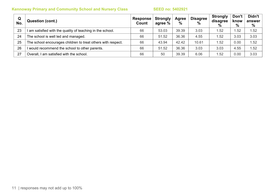| Q<br>No. | <b>Question (cont.)</b>                                      | <b>Response</b><br>Count | <b>Strongly</b><br>agree % | Agree<br>$\%$ | <b>Disagree</b><br>$\frac{0}{0}$ | <b>Strongly</b><br>disagree<br>% | Don't<br>know<br>% | Didn't<br>answer<br>% |
|----------|--------------------------------------------------------------|--------------------------|----------------------------|---------------|----------------------------------|----------------------------------|--------------------|-----------------------|
| 23       | I am satisfied with the quality of teaching in the school.   | 66                       | 53.03                      | 39.39         | 3.03                             | 1.52                             | .52                | 1.52                  |
| 24       | The school is well led and managed.                          | 66                       | 51.52                      | 36.36         | 4.55                             | 1.52                             | 3.03               | 3.03                  |
| 25       | The school encourages children to treat others with respect. | 66                       | 43.94                      | 42.42         | 10.61                            | 1.52                             | 0.00               | 1.52                  |
| 26       | I would recommend the school to other parents.               | 66                       | 51.52                      | 36.36         | 3.03                             | 3.03                             | 4.55               | 1.52                  |
| 27       | Overall, I am satisfied with the school.                     | 66                       | 50                         | 39.39         | 6.06                             | 1.52                             | 0.00               | 3.03                  |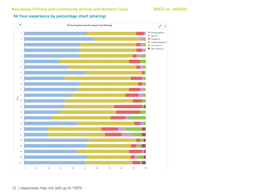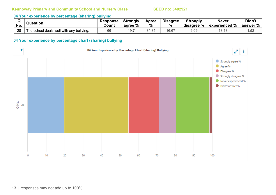### **04 Your experience by percentage (sharing) bullying**

| No. | Question                                 | <b>Response</b><br>Count | <b>Strongly</b><br>%<br>agree | Agree<br>% | <b>Disagree</b><br>$\%$ | <b>Strongly</b><br>disagree % | <b>Never</b><br>experienced % | Didn't<br>℅<br>answer |
|-----|------------------------------------------|--------------------------|-------------------------------|------------|-------------------------|-------------------------------|-------------------------------|-----------------------|
| 28  | The school deals well with any bullying. | 66                       | 19.1                          | 34.85      | 16.67                   | 9.09                          | 18.18                         | .52                   |

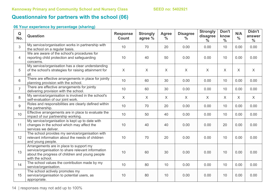# **Questionnaire for partners with the school (06)**

### **06 Your experience by percentage (sharing)**

| Q<br>No.       | <b>Question</b>                                                                                                                                                      | <b>Response</b><br><b>Count</b> | <b>Strongly</b><br>agree % | <b>Agree</b><br>$\frac{0}{0}$ | <b>Disagree</b><br>$\frac{0}{0}$ | <b>Strongly</b><br>disagree<br>$\frac{0}{0}$ | Don't<br>know<br>$\frac{0}{0}$ | N/A<br>$\frac{0}{0}$ | Didn't<br>answer<br>$\frac{0}{0}$ |
|----------------|----------------------------------------------------------------------------------------------------------------------------------------------------------------------|---------------------------------|----------------------------|-------------------------------|----------------------------------|----------------------------------------------|--------------------------------|----------------------|-----------------------------------|
| 3              | My service/organisation works in partnership with<br>the school on a regular basis.                                                                                  | 10                              | 70                         | 20                            | 0.00                             | 0.00                                         | 10                             | 0.00                 | 0.00                              |
| $\overline{4}$ | We are aware of the school's procedures for<br>reporting child protection and safeguarding<br>concerns.                                                              | 10                              | 40                         | 50                            | 0.00                             | 0.00                                         | 10                             | 0.00                 | 0.00                              |
| 5              | My service/organisation has a clear understanding<br>of the school's strategies for raising attainment for<br>all.                                                   | $\sf X$                         | $\mathsf X$                | $\sf X$                       | $\sf X$                          | X                                            | X                              | $\sf X$              | $\mathsf{X}$                      |
| 6              | There are effective arrangements in place for jointly<br>planning provision with the school.                                                                         | 10                              | 60                         | 30                            | 0.00                             | 0.00                                         | 10                             | 0.00                 | 0.00                              |
| $\overline{7}$ | There are effective arrangements for jointly<br>delivering provision with the school.                                                                                | 10                              | 60                         | 30                            | 0.00                             | 0.00                                         | 10                             | 0.00                 | 0.00                              |
| 8              | My service/organisation is involved in the school's<br>self-evaluation of our joint work.                                                                            | X                               | X                          | $\sf X$                       | $\chi$                           | $\chi$                                       | X                              | X                    | X                                 |
| 9              | Roles and responsibilities are clearly defined within<br>the partnership.                                                                                            | 10                              | 70                         | 20                            | 0.00                             | 0.00                                         | 10                             | 0.00                 | 0.00                              |
| 10             | Effective arrangements are in place to evaluate the<br>impact of our partnership working.                                                                            | 10                              | 50                         | 40                            | 0.00                             | 0.00                                         | 10                             | 0.00                 | 0.00                              |
| 11             | My service/organisation is kept up to date with<br>changes in the school which may affect the<br>services we deliver.                                                | 10                              | 40                         | 40                            | 0.00                             | 0.00                                         | 20                             | 0.00                 | 0.00                              |
| 12             | The school provides my service/organisation with<br>relevant information about the needs of children<br>and young people.                                            | 10                              | 70                         | 20                            | 0.00                             | 0.00                                         | 10                             | 0.00                 | 0.00                              |
| 13             | Arrangements are in place to support my<br>service/organisation to share relevant information<br>about the progress of children and young people<br>with the school. | 10                              | 60                         | 30                            | 0.00                             | 0.00                                         | 10                             | 0.00                 | 0.00                              |
| 14             | The school values the contribution made by my<br>service/organisation.                                                                                               | 10                              | 80                         | 10                            | 0.00                             | 0.00                                         | 10                             | 0.00                 | 0.00                              |
| 15             | The school actively promotes my<br>service/organisation to potential users, as<br>appropriate.                                                                       | 10                              | 80                         | 10                            | 0.00                             | 0.00                                         | 10                             | 0.00                 | 0.00                              |

14 | responses may not add up to 100%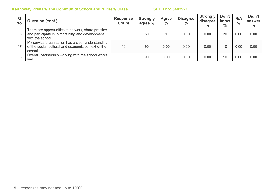| Q<br>No. | <b>Question (cont.)</b>                                                                                                     | <b>Response</b><br>Count | <b>Strongly</b><br>agree % | Agree<br>$\frac{0}{0}$ | <b>Disagree</b><br>$\frac{9}{6}$ | <b>Strongly</b><br>disagree<br>$\%$ | Don't<br>know<br>$\%$ | N/A<br>$\frac{0}{0}$ | Didn't<br>answer<br>$\frac{0}{0}$ |
|----------|-----------------------------------------------------------------------------------------------------------------------------|--------------------------|----------------------------|------------------------|----------------------------------|-------------------------------------|-----------------------|----------------------|-----------------------------------|
| 16       | There are opportunities to network, share practice<br>and participate in joint training and development<br>with the school. | 10                       | 50                         | 30                     | 0.00                             | 0.00                                | 20                    | 0.00                 | 0.00                              |
| 17       | My service/organisation has a clear understanding<br>of the social, cultural and economic context of the<br>school.         | 10                       | 90                         | 0.00                   | 0.00                             | 0.00                                | 10                    | 0.00                 | 0.00                              |
| 18       | Overall, partnership working with the school works<br>well.                                                                 | 10                       | 90                         | 0.00                   | 0.00                             | 0.00                                | 10                    | 0.00                 | 0.00                              |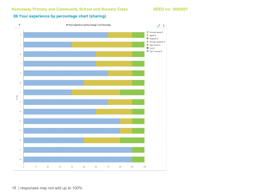### **06 Your experience by percentage chart (sharing)**



16 | responses may not add up to 100%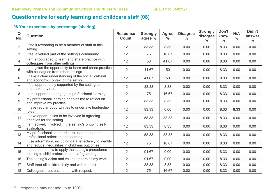# **Questionnaire for early learning and childcare staff (08)**

| Q<br>No.       | <b>Question</b>                                                                                            | <b>Response</b><br>Count | <b>Strongly</b><br>agree % | <b>Agree</b><br>$\%$ | <b>Disagree</b><br>$\frac{0}{0}$ | <b>Strongly</b><br>disagree<br>$\frac{0}{0}$ | Don't<br>know<br>$\frac{0}{0}$ | N/A<br>$\frac{0}{0}$ | Didn't<br>answer<br>$\frac{0}{0}$ |
|----------------|------------------------------------------------------------------------------------------------------------|--------------------------|----------------------------|----------------------|----------------------------------|----------------------------------------------|--------------------------------|----------------------|-----------------------------------|
| $\overline{2}$ | I find it rewarding to be a member of staff at this<br>setting.                                            | 12                       | 83.33                      | 8.33                 | 0.00                             | 0.00                                         | 8.33                           | 0.00                 | 0.00                              |
| 3              | feel a valued part of the setting's community.                                                             | 12                       | 75                         | 16.67                | 0.00                             | 0.00                                         | 8.33                           | 0.00                 | 0.00                              |
| $\overline{4}$ | am encouraged to learn and share practice with<br>colleagues from other settings.                          | 12                       | 50                         | 41.67                | 0.00                             | 0.00                                         | 8.33                           | 0.00                 | 0.00                              |
| 5              | am given the opportunity to learn and share practice<br>with colleagues from other settings.               | 12                       | 41.67                      | 50                   | 0.00                             | 0.00                                         | 8.33                           | 0.00                 | 0.00                              |
| $6\phantom{1}$ | I have a clear understanding of the social, cultural<br>and economic context of the setting.               | 12                       | 41.67                      | 50                   | 0.00                             | 0.00                                         | 8.33                           | 0.00                 | 0.00                              |
| $\overline{7}$ | I feel appropriately supported by the setting to<br>undertake my role.                                     | 12                       | 83.33                      | 8.33                 | 0.00                             | 0.00                                         | 8.33                           | 0.00                 | 0.00                              |
| 8              | am supported to engage in professional learning.                                                           | 12                       | 75                         | 16.67                | 0.00                             | 0.00                                         | 8.33                           | 0.00                 | 0.00                              |
| 9              | My professional learning enables me to reflect on<br>and improve my practice.                              | 12                       | 83.33                      | 8.33                 | 0.00                             | 0.00                                         | 8.33                           | 0.00                 | 0.00                              |
| 10             | I have regular opportunities to undertake leadership<br>roles.                                             | 12                       | 83.33                      | 0.00                 | 0.00                             | 0.00                                         | 8.33                           | 8.33                 | 0.00                              |
| 11             | have opportunities to be involved in agreeing<br>priorities for the setting.                               | 12                       | 58.33                      | 33.33                | 0.00                             | 0.00                                         | 8.33                           | 0.00                 | 0.00                              |
| 12             | am actively involved in the setting's ongoing self-<br>evaluation.                                         | 12                       | 83.33                      | 8.33                 | 0.00                             | 0.00                                         | 8.33                           | 0.00                 | 0.00                              |
| 13             | My professional standards are used to support<br>professional reflection and learning.                     | 12                       | 58.33                      | 33.33                | 0.00                             | 0.00                                         | 8.33                           | 0.00                 | 0.00                              |
| 14             | use information, including data, effectively to identify<br>and reduce inequalities in childrens outcomes. | 12                       | 75                         | 16.67                | 0.00                             | 0.00                                         | 8.33                           | 0.00                 | 0.00                              |
| 15             | understand how to apply the setting's procedures<br>relating to child protection and safeguarding.         | 12                       | 91.67                      | 0.00                 | 0.00                             | 0.00                                         | 8.33                           | 0.00                 | 0.00                              |
| 16             | The setting's vision and values underpins my work.                                                         | 12                       | 91.67                      | 0.00                 | 0.00                             | 0.00                                         | 8.33                           | 0.00                 | 0.00                              |
| 17             | Staff treat all children fairly and with respect.                                                          | 12                       | 83.33                      | 8.33                 | 0.00                             | 0.00                                         | 8.33                           | 0.00                 | 0.00                              |
| 18             | Colleagues treat each other with respect.                                                                  | 12                       | 75                         | 16.67                | 0.00                             | 0.00                                         | 8.33                           | 0.00                 | 0.00                              |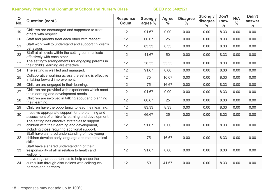| Q<br>No. | <b>Question (cont.)</b>                                                                                                                           | <b>Response</b><br>Count | <b>Strongly</b><br>agree % | <b>Agree</b><br>$\frac{0}{0}$ | <b>Disagree</b><br>$\frac{0}{0}$ | <b>Strongly</b><br>disagree<br>$\frac{0}{0}$ | Don't<br>know<br>$\frac{0}{0}$ | N/A<br>$\frac{0}{0}$ | Didn't<br>answer<br>$\frac{0}{0}$ |
|----------|---------------------------------------------------------------------------------------------------------------------------------------------------|--------------------------|----------------------------|-------------------------------|----------------------------------|----------------------------------------------|--------------------------------|----------------------|-----------------------------------|
| 19       | Children are encouraged and supported to treat<br>others with respect.                                                                            | 12                       | 91.67                      | 0.00                          | 0.00                             | 0.00                                         | 8.33                           | 0.00                 | 0.00                              |
| 20       | Staff and parents treat each other with respect.                                                                                                  | 12                       | 66.67                      | 25                            | 0.00                             | 0.00                                         | 8.33                           | 0.00                 | 0.00                              |
| 21       | Staff work well to understand and support children's<br>behaviour.                                                                                | 12                       | 83.33                      | 8.33                          | 0.00                             | 0.00                                         | 8.33                           | 0.00                 | 0.00                              |
| 22       | Staff at all levels within the setting communicate<br>effectively with each other.                                                                | 12                       | 41.67                      | 50                            | 0.00                             | 0.00                                         | 8.33                           | 0.00                 | 0.00                              |
| 23       | The setting's arrangements for engaging parents in<br>their child's learning are effective.                                                       | 12                       | 58.33                      | 33.33                         | 0.00                             | 0.00                                         | 8.33                           | 0.00                 | 0.00                              |
| 24       | The setting is well led and managed.                                                                                                              | 12                       | 91.67                      | 0.00                          | 0.00                             | 0.00                                         | 8.33                           | 0.00                 | 0.00                              |
| 25       | Collaborative working across the setting is effective<br>in taking forward improvement.                                                           | 12                       | 75                         | 16.67                         | 0.00                             | 0.00                                         | 8.33                           | 0.00                 | 0.00                              |
| 26       | Children are engaged in their learning.                                                                                                           | 12                       | 75                         | 16.67                         | 0.00                             | 0.00                                         | 8.33                           | 0.00                 | 0.00                              |
| 27       | Children are provided with experiences which meet<br>their learning and development needs.                                                        | 12                       | 91.67                      | 0.00                          | 0.00                             | 0.00                                         | 8.33                           | 0.00                 | 0.00                              |
| 28       | Children are involved in talking about and planning<br>their learning.                                                                            | 12                       | 66.67                      | 25                            | 0.00                             | 0.00                                         | 8.33                           | 0.00                 | 0.00                              |
| 29       | Children have the opportunity to lead their learning.                                                                                             | 12                       | 83.33                      | 8.33                          | 0.00                             | 0.00                                         | 8.33                           | 0.00                 | 0.00                              |
| 30       | I receive appropriate support for the planning and<br>assessment of children's learning and development.                                          | 12                       | 66.67                      | 25                            | 0.00                             | 0.00                                         | 8.33                           | 0.00                 | 0.00                              |
| 31       | The setting has effective strategies to support<br>children with their learning and development,<br>including those requiring additional support. | 12                       | 91.67                      | 0.00                          | 0.00                             | 0.00                                         | 8.33                           | 0.00                 | 0.00                              |
| 32       | Staff have a shared understanding of how young<br>children develop early language and mathematical<br>skills.                                     | 12                       | 75                         | 16.67                         | 0.00                             | 0.00                                         | 8.33                           | 0.00                 | 0.00                              |
| 33       | Staff have a shared understanding of their<br>'responsibility of all' in relation to health and<br>wellbeing.                                     | 12                       | 91.67                      | 0.00                          | 0.00                             | 0.00                                         | 8.33                           | 0.00                 | 0.00                              |
| 34       | I have regular opportunities to help shape the<br>curriculum through discussions with colleagues,<br>parents and partners.                        | 12                       | 50                         | 41.67                         | 0.00                             | 0.00                                         | 8.33                           | 0.00                 | 0.00                              |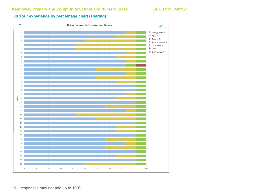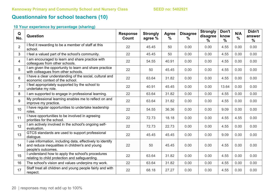# **Questionnaire for school teachers (10)**

| Q<br>No.        | Question                                                                                                                            | <b>Response</b><br>Count | <b>Strongly</b><br>agree % | Agree<br>$\%$ | <b>Disagree</b><br>% | <b>Strongly</b><br>disagree<br>$\%$ | Don't<br>know<br>$\frac{0}{0}$ | N/A<br>$\frac{0}{0}$ | Didn't<br>answer<br>$\frac{0}{0}$ |
|-----------------|-------------------------------------------------------------------------------------------------------------------------------------|--------------------------|----------------------------|---------------|----------------------|-------------------------------------|--------------------------------|----------------------|-----------------------------------|
| $\overline{2}$  | I find it rewarding to be a member of staff at this<br>school.                                                                      | 22                       | 45.45                      | 50            | 0.00                 | 0.00                                | 4.55                           | 0.00                 | 0.00                              |
| 3               | I feel a valued part of the school's community.                                                                                     | 22                       | 45.45                      | 50            | 0.00                 | 0.00                                | 4.55                           | 0.00                 | 0.00                              |
| $\overline{4}$  | I am encouraged to learn and share practice with<br>colleagues from other schools.                                                  | 22                       | 54.55                      | 40.91         | 0.00                 | 0.00                                | 4.55                           | 0.00                 | 0.00                              |
| 5               | I am given the opportunity to learn and share practice<br>with colleagues from other schools.                                       | 22                       | 50                         | 45.45         | 0.00                 | 0.00                                | 4.55                           | 0.00                 | 0.00                              |
| 6               | I have a clear understanding of the social, cultural and<br>economic context of the school.                                         | 22                       | 63.64                      | 31.82         | 0.00                 | 0.00                                | 4.55                           | 0.00                 | 0.00                              |
| $\overline{7}$  | I feel appropriately supported by the school to<br>undertake my role.                                                               | 22                       | 40.91                      | 45.45         | 0.00                 | 0.00                                | 13.64                          | 0.00                 | 0.00                              |
| 8               | I am supported to engage in professional learning.                                                                                  | 22                       | 63.64                      | 31.82         | 0.00                 | 0.00                                | 4.55                           | 0.00                 | 0.00                              |
| 9               | My professional learning enables me to reflect on and<br>improve my practice.                                                       | 22                       | 63.64                      | 31.82         | 0.00                 | 0.00                                | 4.55                           | 0.00                 | 0.00                              |
| 10 <sup>1</sup> | I have regular opportunities to undertake leadership<br>roles.                                                                      | 22                       | 54.55                      | 36.36         | 0.00                 | 0.00                                | 9.09                           | 0.00                 | 0.00                              |
| 11              | I have opportunities to be involved in agreeing<br>priorities for the school.                                                       | 22                       | 72.73                      | 18.18         | 0.00                 | 0.00                                | 4.55                           | 4.55                 | 0.00                              |
| 12              | I am actively involved in the school's ongoing self-<br>evaluation.                                                                 | 22                       | 72.73                      | 22.73         | 0.00                 | 0.00                                | 4.55                           | 0.00                 | 0.00                              |
| 13              | GTCS standards are used to support professional<br>dialogue.                                                                        | 22                       | 45.45                      | 45.45         | 0.00                 | 0.00                                | 9.09                           | 0.00                 | 0.00                              |
| 14              | I use information, including data, effectively to identify<br>and reduce inequalities in children's and young<br>people's outcomes. | 22                       | 50                         | 45.45         | 0.00                 | 0.00                                | 4.55                           | 0.00                 | 0.00                              |
| 15              | I understand how to apply the school's procedures<br>relating to child protection and safeguarding.                                 | 22                       | 63.64                      | 31.82         | 0.00                 | 0.00                                | 4.55                           | 0.00                 | 0.00                              |
| 16              | The school's vision and values underpins my work.                                                                                   | 22                       | 63.64                      | 31.82         | 0.00                 | 0.00                                | 4.55                           | 0.00                 | 0.00                              |
| 17              | Staff treat all children and young people fairly and with<br>respect.                                                               | 22                       | 68.18                      | 27.27         | 0.00                 | 0.00                                | 4.55                           | 0.00                 | 0.00                              |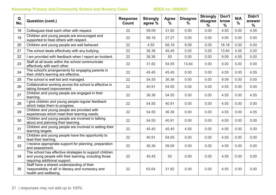| Q<br>No. | <b>Question (cont.)</b>                                                                                                                           | <b>Response</b><br>Count | <b>Strongly</b><br>agree % | <b>Agree</b><br>$\%$ | <b>Disagree</b><br>$\%$ | <b>Strongly</b><br>disagree<br>$\%$ | Don't<br>know<br>$\frac{9}{6}$ | N/A<br>$\frac{0}{0}$ | Didn't<br>answer<br>$\frac{0}{0}$ |
|----------|---------------------------------------------------------------------------------------------------------------------------------------------------|--------------------------|----------------------------|----------------------|-------------------------|-------------------------------------|--------------------------------|----------------------|-----------------------------------|
| 18       | Colleagues treat each other with respect.                                                                                                         | 22                       | 59.09                      | 31.82                | 0.00                    | 0.00                                | 4.55                           | 0.00                 | 4.55                              |
| 19       | Children and young people are encouraged and<br>supported to treat others with respect.                                                           | 22                       | 68.18                      | 27.27                | 0.00                    | 0.00                                | 4.55                           | 0.00                 | 0.00                              |
| 20       | Children and young people are well behaved.                                                                                                       | 22                       | 4.55                       | 68.18                | 9.09                    | 0.00                                | 18.18                          | 0.00                 | 0.00                              |
| 21       | The school deals effectively with any bullying.                                                                                                   | 22                       | 36.36                      | 45.45                | 0.00                    | 0.00                                | 13.64                          | 4.55                 | 0.00                              |
| 22       | I am provided with feedback when I report an incident.                                                                                            | 22                       | 36.36                      | 50                   | 0.00                    | 0.00                                | 9.09                           | 4.55                 | 0.00                              |
| 23       | Staff at all levels within the school communicate<br>effectively with each other.                                                                 | 22                       | 31.82                      | 54.55                | 13.64                   | 0.00                                | 0.00                           | 0.00                 | 0.00                              |
| 24       | The school's arrangements for engaging parents in<br>their child's learning are effective.                                                        | 22                       | 45.45                      | 45.45                | 0.00                    | 0.00                                | 4.55                           | 0.00                 | 4.55                              |
| 25       | The school is well led and managed.                                                                                                               | 22                       | 54.55                      | 36.36                | 0.00                    | 0.00                                | 9.09                           | 0.00                 | 0.00                              |
| 26       | Collaborative working across the school is effective in<br>taking forward improvement.                                                            | 22                       | 40.91                      | 54.55                | 0.00                    | 0.00                                | 4.55                           | 0.00                 | 0.00                              |
| 27       | Children and young people are engaged in their<br>learning.                                                                                       | 22                       | 36.36                      | 54.55                | 0.00                    | 0.00                                | 4.55                           | 0.00                 | 4.55                              |
| 28       | I give children and young people regular feedback<br>which helps them to progress.                                                                | 22                       | 54.55                      | 40.91                | 0.00                    | 0.00                                | 4.55                           | 0.00                 | 0.00                              |
| 29       | Children and young people are provided with<br>experiences which meet their learning needs.                                                       | 22                       | 54.55                      | 36.36                | 0.00                    | 0.00                                | 4.55                           | 0.00                 | 4.55                              |
| 30       | Children and young people are involved in talking<br>about and planning their learning.                                                           | 22                       | 54.55                      | 40.91                | 0.00                    | 0.00                                | 4.55                           | 0.00                 | 0.00                              |
| 31       | Children and young people are involved in setting their<br>learning targets.                                                                      | 22                       | 45.45                      | 45.45                | 4.55                    | 0.00                                | 4.55                           | 0.00                 | 0.00                              |
| 32       | Children and young people have the opportunity to<br>lead their learning.                                                                         | 22                       | 40.91                      | 54.55                | 0.00                    | 0.00                                | 4.55                           | 0.00                 | 0.00                              |
| 33       | I receive appropriate support for planning, preparation<br>and assessment.                                                                        | 22                       | 36.36                      | 59.09                | 0.00                    | 0.00                                | 4.55                           | 0.00                 | 0.00                              |
| 34       | The school has effective strategies to support children<br>and young people with their learning, including those<br>requiring additional support. | 22                       | 45.45                      | 50                   | 0.00                    | 0.00                                | 4.55                           | 0.00                 | 0.00                              |
| 35       | Staff have a shared understanding of their<br>'responsibility of all' in literacy and numeracy and<br>health and wellbeing.                       | 22                       | 63.64                      | 31.82                | 0.00                    | 0.00                                | 4.55                           | 0.00                 | 0.00                              |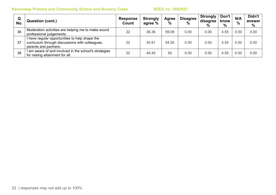| Q<br>No. | <b>Question (cont.)</b>                                                                                                    | <b>Response</b><br>Count | <b>Strongly</b><br>agree % | <b>Agree</b><br>% | <b>Disagree</b><br>$\frac{0}{0}$ | <b>Strongly</b><br>disagree<br>% | Don't<br>know<br>$\%$ | N/A<br>$\%$ | Didn't<br>answer<br>% |
|----------|----------------------------------------------------------------------------------------------------------------------------|--------------------------|----------------------------|-------------------|----------------------------------|----------------------------------|-----------------------|-------------|-----------------------|
| 36       | Moderation activities are helping me to make sound<br>professional judgements.                                             | 22                       | 36.36                      | 59.09             | 0.00                             | 0.00                             | 4.55                  | 0.00        | 0.00                  |
| 37       | I have regular opportunities to help shape the<br>curriculum through discussions with colleagues,<br>parents and partners. | 22                       | 40.91                      | 54.55             | 0.00                             | 0.00                             | 4.55                  | 0.00        | 0.00                  |
| 38       | am aware of and involved in the school's strategies<br>for raising attainment for all.                                     | 22                       | 45.45                      | 50                | 0.00                             | 0.00                             | 4.55                  | 0.00        | 0.00                  |